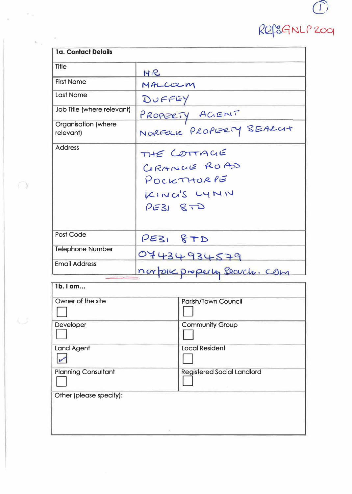| <b>1a. Contact Details</b>       |                                   |  |  |
|----------------------------------|-----------------------------------|--|--|
| <b>Title</b>                     | $H$ $2$                           |  |  |
| <b>First Name</b>                | MALCOLM                           |  |  |
| <b>Last Name</b>                 | DUFFEY                            |  |  |
| Job Title (where relevant)       | PROPERTY AGENT                    |  |  |
| Organisation (where<br>relevant) | NORFOLK PROPERTY SEARCH           |  |  |
| <b>Address</b>                   | THE COTTACIE                      |  |  |
|                                  | GRANCIE RUAD                      |  |  |
|                                  | POCKTHORPE                        |  |  |
|                                  | KINC'S LYNN                       |  |  |
|                                  | $PESI$ $STD$                      |  |  |
|                                  |                                   |  |  |
| Post Code                        | PE31 &TD                          |  |  |
| <b>Telephone Number</b>          | 07434934579                       |  |  |
| <b>Email Address</b>             |                                   |  |  |
|                                  | norporc properly securities com   |  |  |
| 1b. I am                         |                                   |  |  |
| Owner of the site                | <b>Parish/Town Council</b>        |  |  |
| Developer                        | <b>Community Group</b>            |  |  |
|                                  |                                   |  |  |
| <b>Land Agent</b>                | <b>Local Resident</b>             |  |  |
|                                  |                                   |  |  |
| <b>Planning Consultant</b>       | <b>Registered Social Landlord</b> |  |  |
|                                  |                                   |  |  |
| Other (please specify):          |                                   |  |  |
|                                  |                                   |  |  |
|                                  |                                   |  |  |

 $\kappa_{\rm H}$ 

 $\mathcal{C}$  )

 $\bigcup$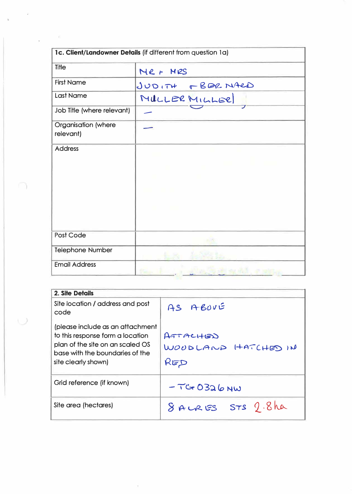|                                         | 1c. Client/Landowner Details (if different from question 1a) |
|-----------------------------------------|--------------------------------------------------------------|
| Title                                   | Mer MRS                                                      |
| <b>First Name</b>                       | JUDITH FBERNARD                                              |
| <b>Last Name</b>                        | MULLER MILLER                                                |
| Job Title (where relevant)              |                                                              |
| <b>Organisation</b> (where<br>relevant) |                                                              |
| <b>Address</b>                          |                                                              |
|                                         |                                                              |
|                                         |                                                              |
|                                         |                                                              |
|                                         |                                                              |
|                                         |                                                              |
| Post Code                               |                                                              |
| <b>Telephone Number</b>                 |                                                              |
| <b>Email Address</b>                    |                                                              |

 $\ddot{\phantom{0}}$ 

 $\cup$ 

 $\sim$ 

 $\bar{z}$ 

| 2. Site Details                                                                                                                                                    |                                              |
|--------------------------------------------------------------------------------------------------------------------------------------------------------------------|----------------------------------------------|
| Site location / address and post<br>code                                                                                                                           | AS ABOVE                                     |
| (please include as an attachment<br>to this response form a location<br>plan of the site on an scaled OS<br>base with the boundaries of the<br>site clearly shown) | $AT + AC + BD$<br>WOUDLAND HATCHED IN<br>RED |
| Grid reference (if known)                                                                                                                                          | $-TC + 0326$ NW                              |
| Site area (hectares)                                                                                                                                               | 8 AURES STS 9.8 ha                           |

 $\lambda$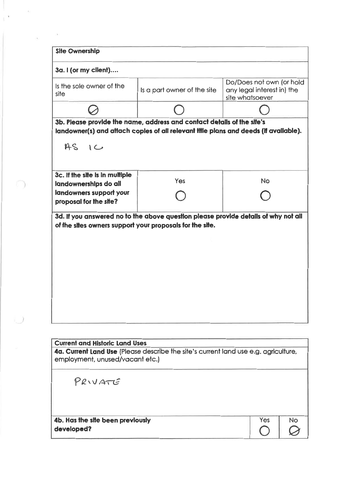| <b>Site Ownership</b>                            |                                                                                      |                 |                                                        |     |
|--------------------------------------------------|--------------------------------------------------------------------------------------|-----------------|--------------------------------------------------------|-----|
| 3a. I (or my client)                             |                                                                                      |                 |                                                        |     |
| Is the sole owner of the<br>site                 | Is a part owner of the site                                                          | site whatsoever | Do/Does not own (or hold<br>any legal interest in) the |     |
|                                                  |                                                                                      |                 |                                                        |     |
|                                                  | 3b. Please provide the name, address and contact details of the site's               |                 |                                                        |     |
|                                                  | landowner(s) and attach copies of all relevant title plans and deeds (if available). |                 |                                                        |     |
| $AS$ 1 $C$                                       |                                                                                      |                 |                                                        |     |
|                                                  |                                                                                      |                 |                                                        |     |
| 3c. If the site is in multiple                   | Yes                                                                                  |                 | <b>No</b>                                              |     |
| landownerships do all<br>landowners support your |                                                                                      |                 |                                                        |     |
| proposal for the site?                           |                                                                                      |                 |                                                        |     |
|                                                  | 3d. If you answered no to the above question please provide details of why not all   |                 |                                                        |     |
|                                                  |                                                                                      |                 |                                                        |     |
| <b>Current and Historic Land Uses</b>            |                                                                                      |                 |                                                        |     |
|                                                  | 4a. Current Land Use (Please describe the site's current land use e.g. agriculture,  |                 |                                                        |     |
| employment, unused/vacant etc.)                  |                                                                                      |                 |                                                        |     |
| PRIVATE                                          |                                                                                      |                 |                                                        |     |
| 4b. Has the site been previously                 |                                                                                      |                 | Yes                                                    | No. |
| developed?                                       |                                                                                      |                 |                                                        |     |
|                                                  |                                                                                      |                 |                                                        |     |

 $\bar{b}$ 

 $\bigcap$ 

 $\cup$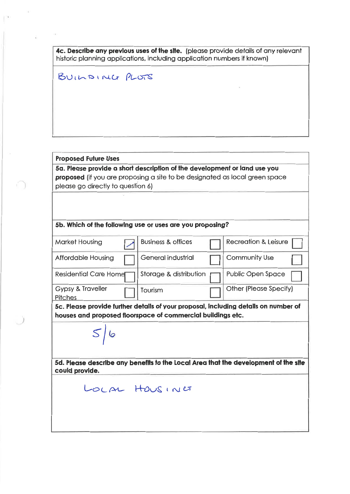4c. Describe any previous uses of the site. (please provide details of any relevant historic planning applications, including application numbers if known)

BUILDING PLOTS

## **Proposed Future Uses**

5a. Please provide a short description of the development or land use you proposed (if you are proposing a site to be designated as local green space please go directly to question 6)

### 5b. Which of the following use or uses are you proposing?

| <b>Market Housing</b>                                                                                                                              |  | <b>Business &amp; offices</b> |  | <b>Recreation &amp; Leisure</b> |  |  |
|----------------------------------------------------------------------------------------------------------------------------------------------------|--|-------------------------------|--|---------------------------------|--|--|
| <b>Affordable Housing</b>                                                                                                                          |  | General industrial            |  | <b>Community Use</b>            |  |  |
| <b>Residential Care Home</b>                                                                                                                       |  | Storage & distribution        |  | <b>Public Open Space</b>        |  |  |
| <b>Gypsy &amp; Traveller</b><br><b>Pitches</b>                                                                                                     |  | Tourism                       |  | <b>Other (Please Specify)</b>   |  |  |
| 5c. Please provide further details of your proposal, including details on number of<br>houses and proposed floorspace of commercial buildings etc. |  |                               |  |                                 |  |  |
|                                                                                                                                                    |  |                               |  |                                 |  |  |

 $S/6$ 

5d. Please describe any benefits to the Local Area that the development of the site could provide.

LOCAL HOUSING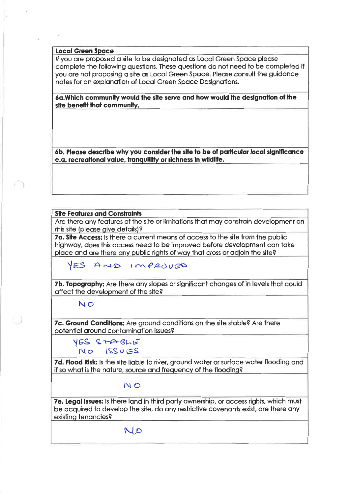#### **Local Green Space**

If you are proposed a site to be designated as Local Green Space please complete the following questions. These questions do not need to be completed if you are not proposing a site as Local Green Space. Please consult the guidance notes for an explanation of Local Green Space Designations.

6a. Which community would the site serve and how would the designation of the site benefit that community.

6b. Please describe why you consider the site to be of particular local significance e.g. recreational value, tranquillity or richness in wildlife.

#### **Site Features and Constraints**

Are there any features of the site or limitations that may constrain development on this site (please give details)?

7a. Site Access: Is there a current means of access to the site from the public highway, does this access need to be improved before development can take place and are there any public rights of way that cross or adjoin the site?

YES AND IMPROVED

7b. Topography: Are there any slopes or significant changes of in levels that could affect the development of the site?

#### NO

7c. Ground Conditions: Are ground conditions on the site stable? Are there potential ground contamination issues?

YES STABLE  $NO$   $|SSUES$ 

7d. Flood Risk: Is the site liable to river, ground water or surface water flooding and if so what is the nature, source and frequency of the flooding?

#### NO

7e. Legal Issues: Is there land in third party ownership, or access rights, which must be acquired to develop the site, do any restrictive covenants exist, are there any existing tenancies?

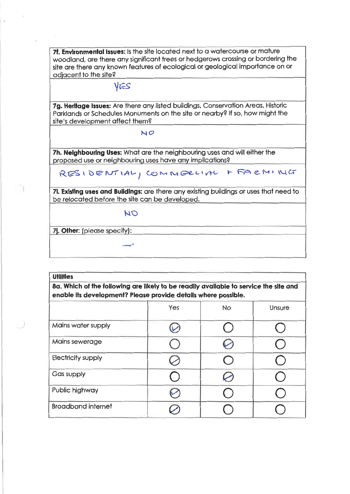7f. Environmental Issues: Is the site located next to a watercourse or mature woodland, are there any significant trees or hedgerows crossing or bordering the site are there any known features of ecological or geological importance on or adjacent to the site?

# VES

7g. Herltage Issues: Are there any listed buildings, Conservation Areas, Historic Parklands or Schedules Monuments on the site or nearby? If so, how might the site's development affect them?

 $NO$ 

7h. Neighbouring Uses: What are the neighbouring uses and will either the proposed use or neighbouring uses have any implications?

RESIDENTIAL, COMMERCIAL + FARMING

71. Existing uses and Buildings: are there any existing buildings or uses that need to be relocated before the site can be developed.

NO

7]. Other: (please specify):

| <b>Utilities</b>                                                                                                                                        |  |  |  |  |  |
|---------------------------------------------------------------------------------------------------------------------------------------------------------|--|--|--|--|--|
| 8a. Which of the following are likely to be readily available to service the site and<br>enable its development? Please provide details where possible. |  |  |  |  |  |
|                                                                                                                                                         |  |  |  |  |  |
| Maine water supply                                                                                                                                      |  |  |  |  |  |

| Mains water supply        |  |  |
|---------------------------|--|--|
| Mains sewerage            |  |  |
| <b>Electricity supply</b> |  |  |
| Gas supply                |  |  |
| Public highway            |  |  |
| <b>Broadband internet</b> |  |  |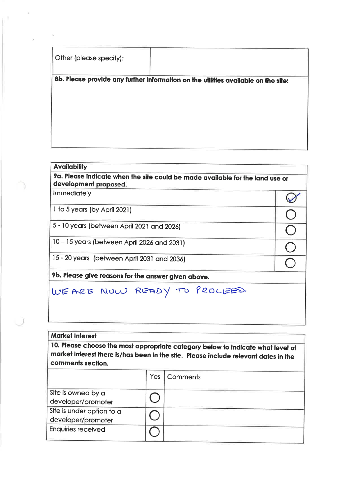Other (please specify):

8b. Please provide any further information on the utilities available on the site:

#### **Availability**

9a. Please indicate when the site could be made available for the land use or development proposed.

 $\oslash$ 

 $\frac{1}{2}$ 

Immediately

1 to 5 years (by April 2021)

5 - 10 years (between April 2021 and 2026)

10 - 15 years (between April 2026 and 2031)

15 - 20 years (between April 2031 and 2036)

9b. Please give reasons for the answer given above.

WE ARE NOW READY TO PROCEED.

#### **Market Interest**

10. Please choose the most appropriate category below to indicate what level of market interest there is/has been in the site. Please include relevant dates in the comments section.

|                                                 | Yes | Comments |
|-------------------------------------------------|-----|----------|
| Site is owned by a<br>developer/promoter        |     |          |
| Site is under option to a<br>developer/promoter |     |          |
| <b>Enquiries received</b>                       |     |          |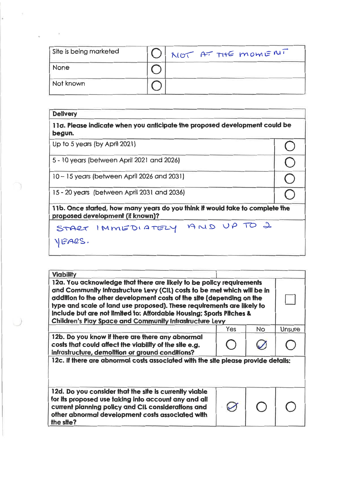| Site is being marketed | NOT AT THE MOMENT |
|------------------------|-------------------|
| <b>None</b>            |                   |
| Not known              |                   |

X

 $\bar{\phantom{a}}$ 

| <b>Delivery</b>                                                                                                  |  |  |  |  |  |
|------------------------------------------------------------------------------------------------------------------|--|--|--|--|--|
| 11a. Please indicate when you anticipate the proposed development could be<br>begun.                             |  |  |  |  |  |
| Up to 5 years (by April 2021)                                                                                    |  |  |  |  |  |
| 5 - 10 years (between April 2021 and 2026)                                                                       |  |  |  |  |  |
| 10 – 15 years (between April 2026 and 2031)                                                                      |  |  |  |  |  |
| 15 - 20 years (between April 2031 and 2036)                                                                      |  |  |  |  |  |
| 11b. Once started, how many years do you think it would take to complete the<br>proposed development (if known)? |  |  |  |  |  |
| START IMMEDIATELY AND UP TO 2                                                                                    |  |  |  |  |  |
|                                                                                                                  |  |  |  |  |  |
|                                                                                                                  |  |  |  |  |  |

| <b>Viability</b>                                                                                                                                                                                                                                                                                                                                                                                                                              |     |           |        |  |  |
|-----------------------------------------------------------------------------------------------------------------------------------------------------------------------------------------------------------------------------------------------------------------------------------------------------------------------------------------------------------------------------------------------------------------------------------------------|-----|-----------|--------|--|--|
| 12a. You acknowledge that there are likely to be policy requirements<br>and Community Infrastructure Levy (CIL) costs to be met which will be in<br>addition to the other development costs of the site (depending on the<br>type and scale of land use proposed). These requirements are likely to<br>Include but are not limited to: Affordable Housing; Sports Pitches &<br><b>Children's Play Space and Community Infrastructure Levy</b> |     |           |        |  |  |
|                                                                                                                                                                                                                                                                                                                                                                                                                                               | Yes | <b>No</b> | Unsure |  |  |
| 12b. Do you know if there are there any abnormal<br>costs that could affect the viability of the site e.g.<br>infrastructure, demolition or ground conditions?                                                                                                                                                                                                                                                                                |     |           |        |  |  |
| 12c. If there are abnormal costs associated with the site please provide details:                                                                                                                                                                                                                                                                                                                                                             |     |           |        |  |  |
| 12d. Do you consider that the site is currently viable<br>for its proposed use taking into account any and all<br>current planning policy and CIL considerations and<br>other abnormal development costs associated with<br>the site?                                                                                                                                                                                                         |     |           |        |  |  |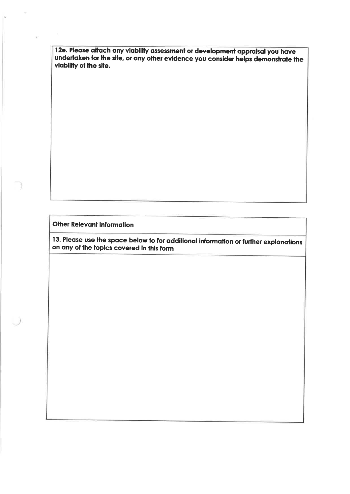12e. Please attach any viability assessment or development appraisal you have undertaken for the site, or any other evidence you consider helps demonstrate the viability of the site.

**Other Relevant Information** 

13. Please use the space below to for additional information or further explanations on any of the topics covered in this form